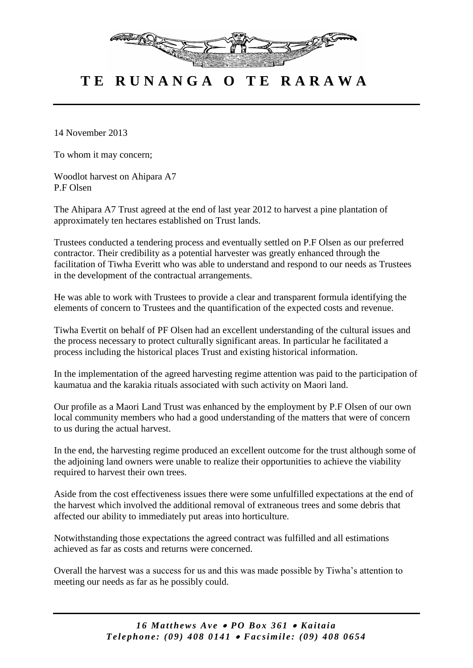

## **T E R U N A N G A O T E R A R A W A**

14 November 2013

To whom it may concern;

Woodlot harvest on Ahipara A7 P.F Olsen

The Ahipara A7 Trust agreed at the end of last year 2012 to harvest a pine plantation of approximately ten hectares established on Trust lands.

Trustees conducted a tendering process and eventually settled on P.F Olsen as our preferred contractor. Their credibility as a potential harvester was greatly enhanced through the facilitation of Tiwha Everitt who was able to understand and respond to our needs as Trustees in the development of the contractual arrangements.

He was able to work with Trustees to provide a clear and transparent formula identifying the elements of concern to Trustees and the quantification of the expected costs and revenue.

Tiwha Evertit on behalf of PF Olsen had an excellent understanding of the cultural issues and the process necessary to protect culturally significant areas. In particular he facilitated a process including the historical places Trust and existing historical information.

In the implementation of the agreed harvesting regime attention was paid to the participation of kaumatua and the karakia rituals associated with such activity on Maori land.

Our profile as a Maori Land Trust was enhanced by the employment by P.F Olsen of our own local community members who had a good understanding of the matters that were of concern to us during the actual harvest.

In the end, the harvesting regime produced an excellent outcome for the trust although some of the adjoining land owners were unable to realize their opportunities to achieve the viability required to harvest their own trees.

Aside from the cost effectiveness issues there were some unfulfilled expectations at the end of the harvest which involved the additional removal of extraneous trees and some debris that affected our ability to immediately put areas into horticulture.

Notwithstanding those expectations the agreed contract was fulfilled and all estimations achieved as far as costs and returns were concerned.

Overall the harvest was a success for us and this was made possible by Tiwha's attention to meeting our needs as far as he possibly could.